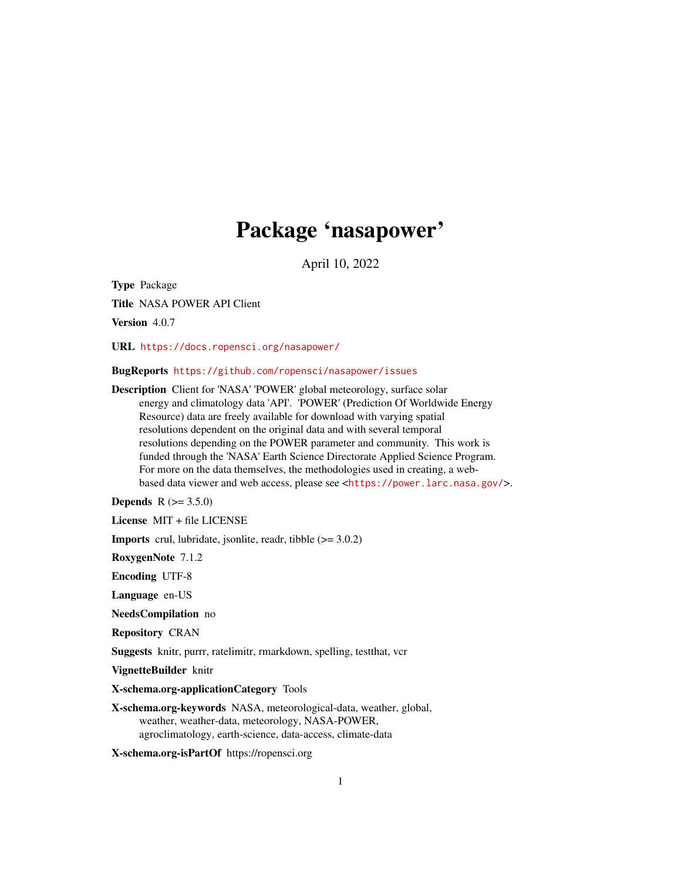# Package 'nasapower'

April 10, 2022

<span id="page-0-0"></span>Type Package

Title NASA POWER API Client

Version 4.0.7

URL <https://docs.ropensci.org/nasapower/>

BugReports <https://github.com/ropensci/nasapower/issues>

Description Client for 'NASA' 'POWER' global meteorology, surface solar energy and climatology data 'API'. 'POWER' (Prediction Of Worldwide Energy Resource) data are freely available for download with varying spatial resolutions dependent on the original data and with several temporal resolutions depending on the POWER parameter and community. This work is funded through the 'NASA' Earth Science Directorate Applied Science Program. For more on the data themselves, the methodologies used in creating, a webbased data viewer and web access, please see <<https://power.larc.nasa.gov/>>.

**Depends**  $R (= 3.5.0)$ 

License MIT + file LICENSE

**Imports** crul, lubridate, jsonlite, readr, tibble  $(>= 3.0.2)$ 

RoxygenNote 7.1.2

Encoding UTF-8

Language en-US

NeedsCompilation no

Repository CRAN

Suggests knitr, purrr, ratelimitr, rmarkdown, spelling, testthat, vcr

VignetteBuilder knitr

X-schema.org-applicationCategory Tools

X-schema.org-keywords NASA, meteorological-data, weather, global, weather, weather-data, meteorology, NASA-POWER, agroclimatology, earth-science, data-access, climate-data

X-schema.org-isPartOf https://ropensci.org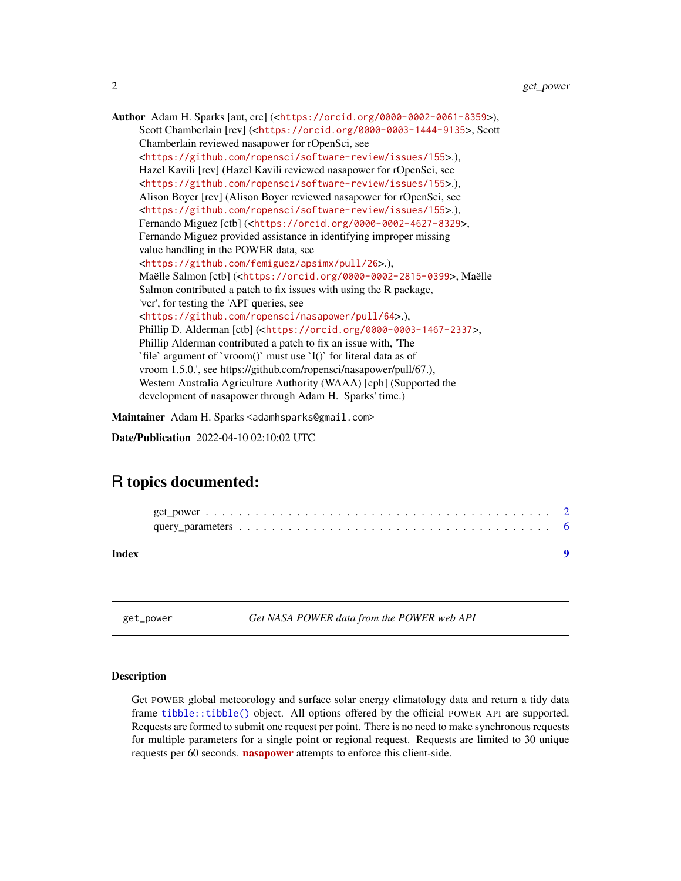<span id="page-1-0"></span>Author Adam H. Sparks [aut, cre] (<<https://orcid.org/0000-0002-0061-8359>>), Scott Chamberlain [rev] (<<https://orcid.org/0000-0003-1444-9135>>, Scott Chamberlain reviewed nasapower for rOpenSci, see <<https://github.com/ropensci/software-review/issues/155>>.), Hazel Kavili [rev] (Hazel Kavili reviewed nasapower for rOpenSci, see <<https://github.com/ropensci/software-review/issues/155>>.), Alison Boyer [rev] (Alison Boyer reviewed nasapower for rOpenSci, see <<https://github.com/ropensci/software-review/issues/155>>.), Fernando Miguez [ctb] (<<https://orcid.org/0000-0002-4627-8329>>, Fernando Miguez provided assistance in identifying improper missing value handling in the POWER data, see <<https://github.com/femiguez/apsimx/pull/26>>.), Maëlle Salmon [ctb] (<<https://orcid.org/0000-0002-2815-0399>>, Maëlle Salmon contributed a patch to fix issues with using the R package, 'vcr', for testing the 'API' queries, see <<https://github.com/ropensci/nasapower/pull/64>>.), Phillip D. Alderman [ctb] (<<https://orcid.org/0000-0003-1467-2337>>, Phillip Alderman contributed a patch to fix an issue with, 'The `file` argument of `vroom()` must use `I()` for literal data as of vroom 1.5.0.', see https://github.com/ropensci/nasapower/pull/67.), Western Australia Agriculture Authority (WAAA) [cph] (Supported the development of nasapower through Adam H. Sparks' time.)

Maintainer Adam H. Sparks <adamhsparks@gmail.com>

Date/Publication 2022-04-10 02:10:02 UTC

# R topics documented:

| Index |  |
|-------|--|

get\_power *Get NASA POWER data from the POWER web API*

#### Description

Get POWER global meteorology and surface solar energy climatology data and return a tidy data frame [tibble::tibble\(\)](#page-0-0) object. All options offered by the official POWER API are supported. Requests are formed to submit one request per point. There is no need to make synchronous requests for multiple parameters for a single point or regional request. Requests are limited to 30 unique requests per 60 seconds. **[nasapower](https://CRAN.R-project.org/package=nasapower)** attempts to enforce this client-side.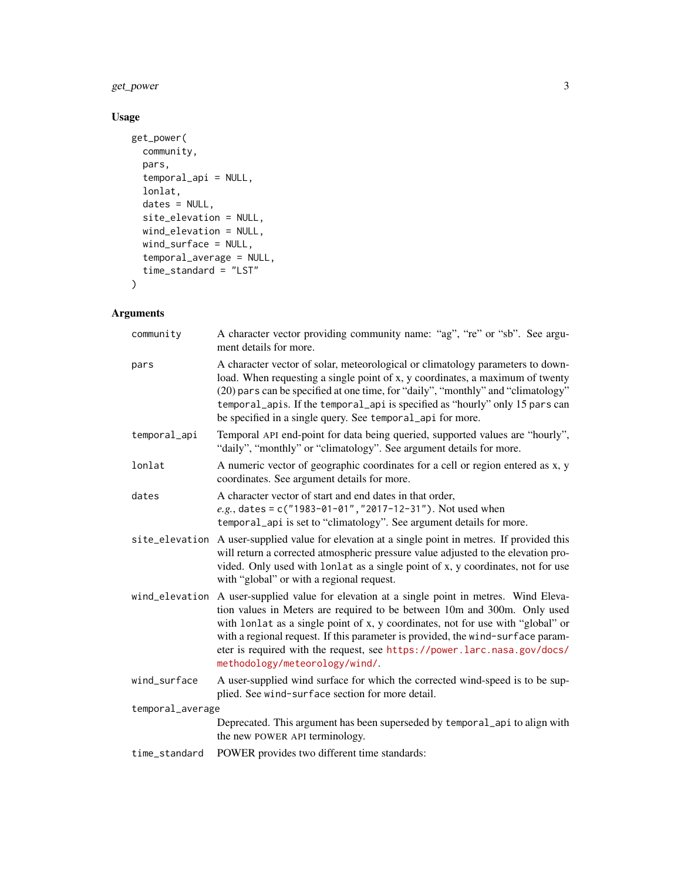## get\_power 3

### Usage

```
get_power(
  community,
  pars,
  temporal_api = NULL,
  lonlat,
  dates = NULL,
  site_elevation = NULL,
  wind_elevation = NULL,
  wind_surface = NULL,
  temporal_average = NULL,
  time_standard = "LST"
\mathcal{L}
```
# Arguments

| community        | A character vector providing community name: "ag", "re" or "sb". See argu-<br>ment details for more.                                                                                                                                                                                                                                                                                                                                                        |
|------------------|-------------------------------------------------------------------------------------------------------------------------------------------------------------------------------------------------------------------------------------------------------------------------------------------------------------------------------------------------------------------------------------------------------------------------------------------------------------|
| pars             | A character vector of solar, meteorological or climatology parameters to down-<br>load. When requesting a single point of x, y coordinates, a maximum of twenty<br>(20) pars can be specified at one time, for "daily", "monthly" and "climatology"<br>temporal_apis. If the temporal_api is specified as "hourly" only 15 pars can<br>be specified in a single query. See temporal_api for more.                                                           |
| temporal_api     | Temporal API end-point for data being queried, supported values are "hourly",<br>"daily", "monthly" or "climatology". See argument details for more.                                                                                                                                                                                                                                                                                                        |
| lonlat           | A numeric vector of geographic coordinates for a cell or region entered as x, y<br>coordinates. See argument details for more.                                                                                                                                                                                                                                                                                                                              |
| dates            | A character vector of start and end dates in that order,<br>e.g., dates = c("1983-01-01", "2017-12-31"). Not used when<br>temporal_api is set to "climatology". See argument details for more.                                                                                                                                                                                                                                                              |
|                  | site_elevation A user-supplied value for elevation at a single point in metres. If provided this<br>will return a corrected atmospheric pressure value adjusted to the elevation pro-<br>vided. Only used with lonlat as a single point of x, y coordinates, not for use<br>with "global" or with a regional request.                                                                                                                                       |
|                  | wind_elevation A user-supplied value for elevation at a single point in metres. Wind Eleva-<br>tion values in Meters are required to be between 10m and 300m. Only used<br>with lonlat as a single point of x, y coordinates, not for use with "global" or<br>with a regional request. If this parameter is provided, the wind-surface param-<br>eter is required with the request, see https://power.larc.nasa.gov/docs/<br>methodology/meteorology/wind/. |
| wind_surface     | A user-supplied wind surface for which the corrected wind-speed is to be sup-<br>plied. See wind-surface section for more detail.                                                                                                                                                                                                                                                                                                                           |
| temporal_average |                                                                                                                                                                                                                                                                                                                                                                                                                                                             |
|                  | Deprecated. This argument has been superseded by temporal_api to align with<br>the new POWER API terminology.                                                                                                                                                                                                                                                                                                                                               |
| time_standard    | POWER provides two different time standards:                                                                                                                                                                                                                                                                                                                                                                                                                |
|                  |                                                                                                                                                                                                                                                                                                                                                                                                                                                             |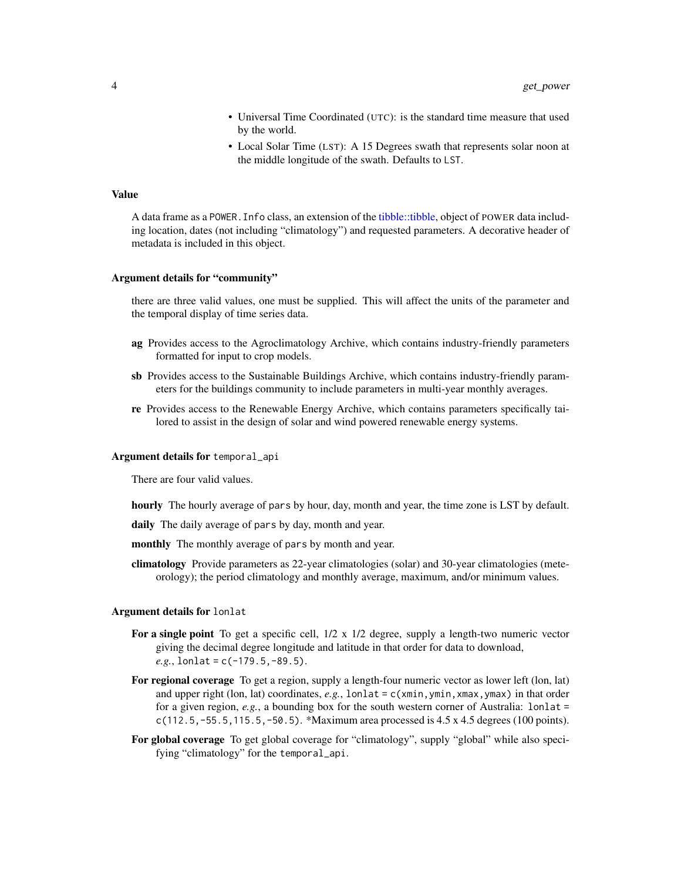- Universal Time Coordinated (UTC): is the standard time measure that used by the world.
- Local Solar Time (LST): A 15 Degrees swath that represents solar noon at the middle longitude of the swath. Defaults to LST.

#### <span id="page-3-0"></span>Value

A data frame as a POWER.Info class, an extension of the [tibble::tibble,](#page-0-0) object of POWER data including location, dates (not including "climatology") and requested parameters. A decorative header of metadata is included in this object.

#### Argument details for "community"

there are three valid values, one must be supplied. This will affect the units of the parameter and the temporal display of time series data.

- ag Provides access to the Agroclimatology Archive, which contains industry-friendly parameters formatted for input to crop models.
- sb Provides access to the Sustainable Buildings Archive, which contains industry-friendly parameters for the buildings community to include parameters in multi-year monthly averages.
- re Provides access to the Renewable Energy Archive, which contains parameters specifically tailored to assist in the design of solar and wind powered renewable energy systems.

#### Argument details for temporal\_api

There are four valid values.

hourly The hourly average of pars by hour, day, month and year, the time zone is LST by default.

daily The daily average of pars by day, month and year.

- monthly The monthly average of pars by month and year.
- climatology Provide parameters as 22-year climatologies (solar) and 30-year climatologies (meteorology); the period climatology and monthly average, maximum, and/or minimum values.

#### Argument details for lonlat

- For a single point To get a specific cell,  $1/2 \times 1/2$  degree, supply a length-two numeric vector giving the decimal degree longitude and latitude in that order for data to download,  $e.g.,$  lonlat =  $c(-179.5, -89.5).$
- For regional coverage To get a region, supply a length-four numeric vector as lower left (lon, lat) and upper right (lon, lat) coordinates, *e.g.*, lonlat = c(xmin, ymin, xmax, ymax) in that order for a given region, *e.g.*, a bounding box for the south western corner of Australia: lonlat = c(112.5,-55.5,115.5,-50.5). \*Maximum area processed is 4.5 x 4.5 degrees (100 points).
- For global coverage To get global coverage for "climatology", supply "global" while also specifying "climatology" for the temporal\_api.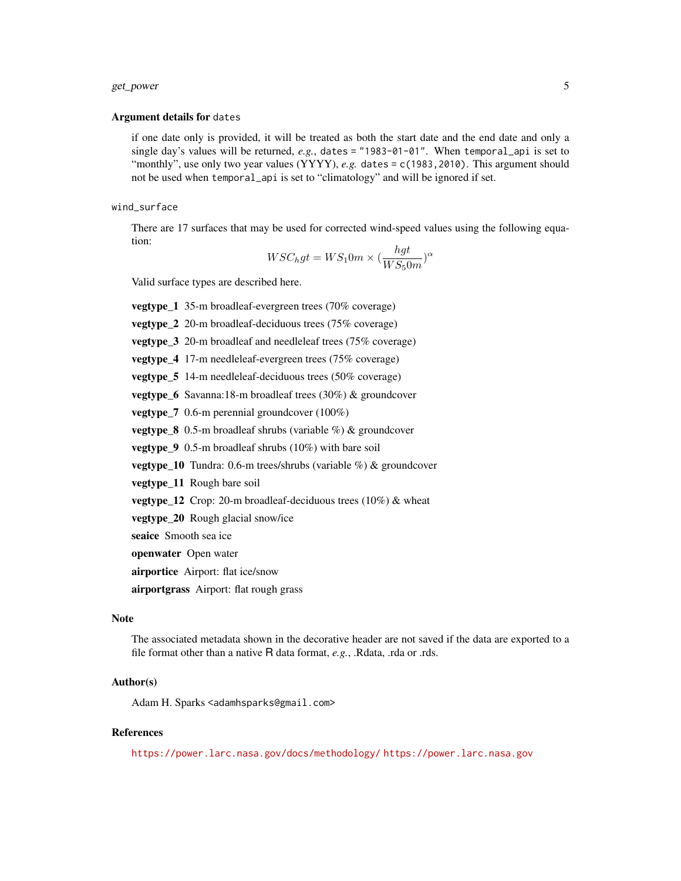#### get\_power 5

#### Argument details for dates

if one date only is provided, it will be treated as both the start date and the end date and only a single day's values will be returned, *e.g.*, dates = "1983-01-01". When temporal\_api is set to "monthly", use only two year values (YYYY), *e.g.* dates = c(1983, 2010). This argument should not be used when temporal\_api is set to "climatology" and will be ignored if set.

#### wind\_surface

There are 17 surfaces that may be used for corrected wind-speed values using the following equation:

$$
WSC_hgt = WS_10m \times \left(\frac{hgt}{WS_50m}\right)^{\alpha}
$$

Valid surface types are described here.

vegtype\_1 35-m broadleaf-evergreen trees (70% coverage)

vegtype\_2 20-m broadleaf-deciduous trees (75% coverage)

vegtype\_3 20-m broadleaf and needleleaf trees (75% coverage)

vegtype\_4 17-m needleleaf-evergreen trees (75% coverage)

vegtype\_5 14-m needleleaf-deciduous trees (50% coverage)

vegtype\_6 Savanna:18-m broadleaf trees (30%) & groundcover

vegtype\_7 0.6-m perennial groundcover (100%)

**vegtype\_8** 0.5-m broadleaf shrubs (variable  $\%$ ) & groundcover

**vegtype** 9 0.5-m broadleaf shrubs  $(10\%)$  with bare soil

vegtype\_10 Tundra: 0.6-m trees/shrubs (variable %) & groundcover

vegtype\_11 Rough bare soil

**vegtype\_12** Crop: 20-m broadleaf-deciduous trees  $(10\%)$  & wheat

vegtype\_20 Rough glacial snow/ice

seaice Smooth sea ice

openwater Open water

airportice Airport: flat ice/snow

airportgrass Airport: flat rough grass

#### Note

The associated metadata shown in the decorative header are not saved if the data are exported to a file format other than a native R data format, *e.g.*, .Rdata, .rda or .rds.

#### Author(s)

Adam H. Sparks <adamhsparks@gmail.com>

#### References

<https://power.larc.nasa.gov/docs/methodology/> <https://power.larc.nasa.gov>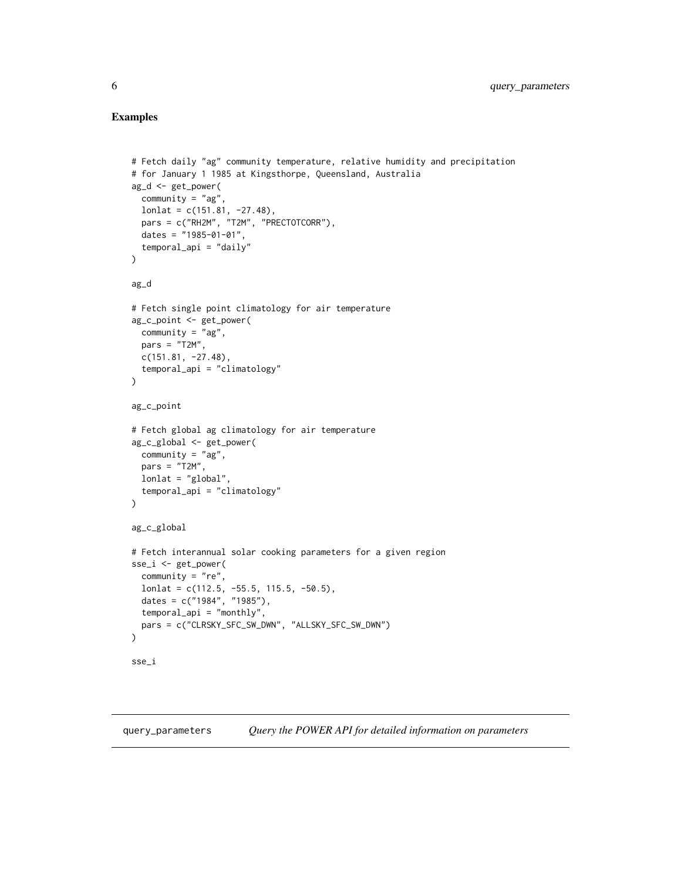#### <span id="page-5-0"></span>Examples

```
# Fetch daily "ag" community temperature, relative humidity and precipitation
# for January 1 1985 at Kingsthorpe, Queensland, Australia
ag_d <- get_power(
  community = "ag"lonlat = c(151.81, -27.48),pars = c("RH2M", "T2M", "PRECTOTCORR"),
  dates = "1985-01-01",
  temporal_api = "daily"
)
ag_d
# Fetch single point climatology for air temperature
ag_c_point <- get_power(
 community = "ag",
 pars = "T2M",c(151.81, -27.48),
  temporal_api = "climatology"
)
ag_c_point
# Fetch global ag climatology for air temperature
ag_c_global <- get_power(
  community = "ag",pars = "T2M",lonlat = "global",
  temporal_api = "climatology"
\lambdaag_c_global
# Fetch interannual solar cooking parameters for a given region
sse_i <- get_power(
 community = "re",
 lonlat = c(112.5, -55.5, 115.5, -50.5),
 dates = c("1984", "1985"),
  temporal_api = "monthly",
  pars = c("CLRSKY_SFC_SW_DWN", "ALLSKY_SFC_SW_DWN")
)
sse_i
```
query\_parameters *Query the POWER API for detailed information on parameters*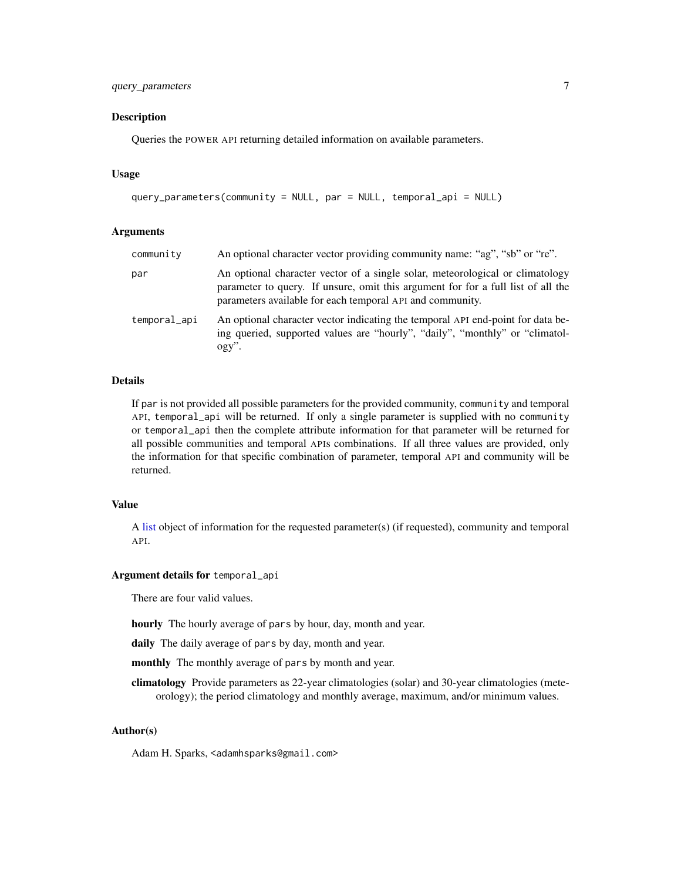#### <span id="page-6-0"></span>query\_parameters 7

#### Description

Queries the POWER API returning detailed information on available parameters.

#### Usage

```
query_parameters(community = NULL, par = NULL, temporal_api = NULL)
```
#### Arguments

| community    | An optional character vector providing community name: "ag", "sb" or "re".                                                                                                                                                     |
|--------------|--------------------------------------------------------------------------------------------------------------------------------------------------------------------------------------------------------------------------------|
| par          | An optional character vector of a single solar, meteorological or climatology<br>parameter to query. If unsure, omit this argument for for a full list of all the<br>parameters available for each temporal API and community. |
| temporal_api | An optional character vector indicating the temporal API end-point for data be-<br>ing queried, supported values are "hourly", "daily", "monthly" or "climatol-<br>$ogy$ ".                                                    |

#### Details

If par is not provided all possible parameters for the provided community, community and temporal API, temporal\_api will be returned. If only a single parameter is supplied with no community or temporal\_api then the complete attribute information for that parameter will be returned for all possible communities and temporal APIs combinations. If all three values are provided, only the information for that specific combination of parameter, temporal API and community will be returned.

#### Value

A [list](#page-0-0) object of information for the requested parameter(s) (if requested), community and temporal API.

#### Argument details for temporal\_api

There are four valid values.

hourly The hourly average of pars by hour, day, month and year.

daily The daily average of pars by day, month and year.

monthly The monthly average of pars by month and year.

climatology Provide parameters as 22-year climatologies (solar) and 30-year climatologies (meteorology); the period climatology and monthly average, maximum, and/or minimum values.

#### Author(s)

Adam H. Sparks, <adamhsparks@gmail.com>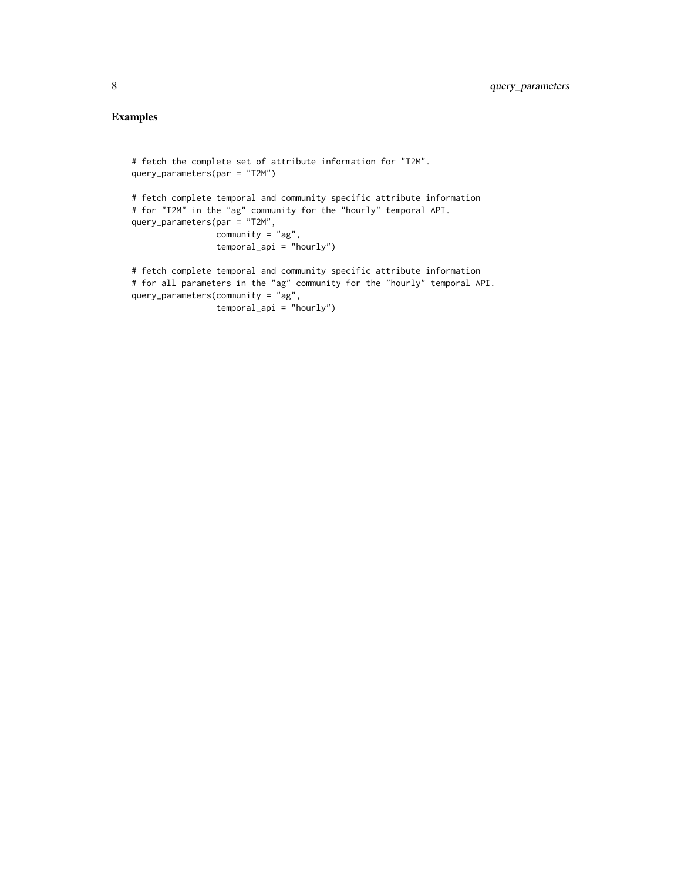# Examples

```
# fetch the complete set of attribute information for "T2M".
query_parameters(par = "T2M")
# fetch complete temporal and community specific attribute information
# for "T2M" in the "ag" community for the "hourly" temporal API.
query_parameters(par = "T2M",
                 community = "ag",temporal_api = "hourly")
# fetch complete temporal and community specific attribute information
# for all parameters in the "ag" community for the "hourly" temporal API.
query_parameters(community = "ag",
```

```
temporal_api = "hourly")
```